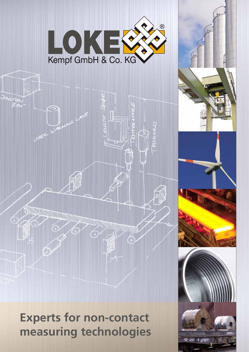

**Experts for non-contact measuring technologies**

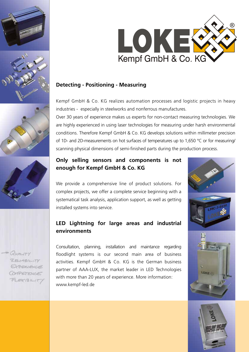







QUALITY REUNSIL TV PERIENCE CORRETENCE FLEETBILIT



#### **Detecting - Positioning - Measuring**

Kempf GmbH & Co. KG realizes automation processes and logistic projects in heavy industries - especially in steelworks and nonferrous manufactures.

Over 30 years of experience makes us experts for non-contact measuring technologies. We are highly experienced in using laser technologies for measuring under harsh environmental conditions. Therefore Kempf GmbH & Co. KG develops solutions within millimeter precision of 1D- and 2D-measurements on hot surfaces of temperatures up to 1,650 °C or for measuring/ scanning physical dimensions of semi-finished parts during the production process.

### **Only selling sensors and components is not enough for Kempf GmbH & Co. KG**

We provide a comprehensive line of product solutions. For complex projects, we offer a complete service beginning with a systematical task analysis, application support, as well as getting installed systems into service.

## **LED Lightning for large areas and industrial environments**

Consultation, planning, installation and maintance regarding floodlight systems is our second main area of business activities. Kempf GmbH & Co. KG is the German business partner of AAA-LUX, the market leader in LED Technologies with more than 20 years of experience. More information: www.kempf-led.de



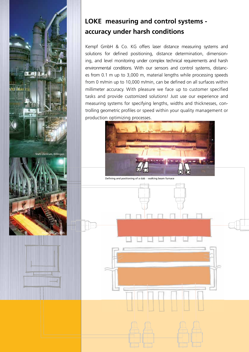

# **LOKE measuring and control systems accuracy under harsh conditions**

Kempf GmbH & Co. KG offers laser distance measuring systems and solutions for defined positioning, distance determination, dimensioning, and level monitoring under complex technical requirements and harsh environmental conditions. With our sensors and control systems, distances from 0.1 m up to 3,000 m, material lengths while processing speeds from 0 m/min up to 10,000 m/min, can be defined on all surfaces within millimeter accuracy. With pleasure we face up to customer specified tasks and provide customized solutions! Just use our experience and measuring systems for specifying lengths, widths and thicknesses, controlling geometric profiles or speed within your quality management or production optimizing processes.



Defining and positioning of a slab - walking beam furnace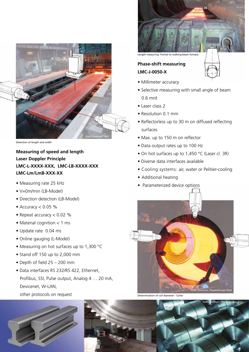

Detection of length and width

### **Measuring of speed and length Laser Doppler Principle LMC-L-XXXX-XXX, LMC-LB-XXXX-XXX LMC-Lm/LmB-XXX-XX**

- Measuring rate 25 kHz
- V=0m/min (LB-Model)
- Direction detection (LB-Model)
- $\bullet$  Accuracy < 0.05 %
- Repeat accuracy < 0.02 %
- Material cognition < 1 ms
- Update rate 0.04 ms
- Online gauging (L-Model)
- Measuring on hot surfaces up to 1,300 °C
- Stand off 150 up to 2,000 mm
- Depth of field 25 200 mm
- Data interfaces RS 232/RS 422, Ethernet, Profibus, SSI, Pulse output, Analog 4 … 20 mA, Devicenet, W-LAN, other protocols on request





Length measuring frontal to walking beam furnace

### **Phase-shift measuring LMC-J-0050-X**

- Millimeter accuracy
- Selective measuring with small angle of beam 0.6 mrd
- Laser class 2
- Resolution 0.1 mm
- Reflectorless up to 30 m on diffused reflecting surfaces
- Max. up to 150 m on reflector
- Data output rates up to 100 Hz
- On hot surfaces up to 1,450 °C (Laser cl. 3R)
- Diverse data interfaces available
- Cooling systems: air, water or Pelitier-cooling
- Additional heating
- Parameterized device options



Determination of coil diameter - Coiler



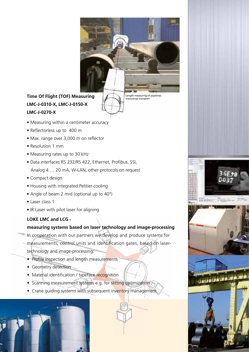

# **Time Of Flight (TOF) Measuring LMC-J-0310-X, LMC-J-0150-X LMC-J-0270-X**

Length measuring of pipelines transversal transport

 $\frac{1}{10111100000}$ 

- Measuring within a centimeter accuracy
- Reflectorless up to 400 m
- Max. range over 3,000 m on reflector
- Resolution 1 mm
- Measuring rates up to 30 kHz
- Data interfaces RS 232/RS 422, Ethernet, Profibus, SSI, Analog 4 … 20 mA, W-LAN, other protocols on request
- Compact design
- Housing with integrated Pelitier-cooling
- Angle of beam 2 mrd (optional up to 40°)
- Laser class 1
- IR Laser with pilot laser for aligning

### **LOKE LMC and LCG -**

### **measuring systems based on laser technology and image-processing**

- In cooperation with our partners we develop and produce systems for
- measurements, control units and identification gates, based on lasertechnology and image-processing:
	- Profile inspection and length measurements
	- Geometry detection
	- Material identification / typeface recognition
	- Scanning measurement systems e.g. for slitting optimization
	- Crane guiding systems with subsequent inventory management